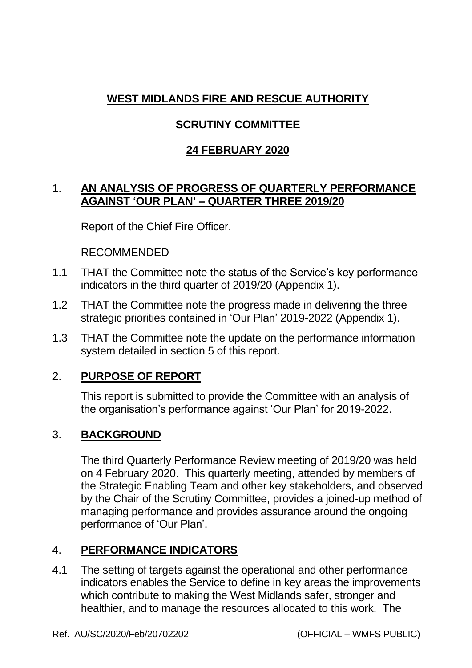## **WEST MIDLANDS FIRE AND RESCUE AUTHORITY**

# **SCRUTINY COMMITTEE**

### **24 FEBRUARY 2020**

### 1. **AN ANALYSIS OF PROGRESS OF QUARTERLY PERFORMANCE AGAINST 'OUR PLAN' – QUARTER THREE 2019/20**

Report of the Chief Fire Officer.

RECOMMENDED

- 1.1 THAT the Committee note the status of the Service's key performance indicators in the third quarter of 2019/20 (Appendix 1).
- 1.2 THAT the Committee note the progress made in delivering the three strategic priorities contained in 'Our Plan' 2019-2022 (Appendix 1).
- 1.3 THAT the Committee note the update on the performance information system detailed in section 5 of this report.

### 2. **PURPOSE OF REPORT**

This report is submitted to provide the Committee with an analysis of the organisation's performance against 'Our Plan' for 2019-2022.

### 3. **BACKGROUND**

The third Quarterly Performance Review meeting of 2019/20 was held on 4 February 2020. This quarterly meeting, attended by members of the Strategic Enabling Team and other key stakeholders, and observed by the Chair of the Scrutiny Committee, provides a joined-up method of managing performance and provides assurance around the ongoing performance of 'Our Plan'.

### 4. **PERFORMANCE INDICATORS**

4.1 The setting of targets against the operational and other performance indicators enables the Service to define in key areas the improvements which contribute to making the West Midlands safer, stronger and healthier, and to manage the resources allocated to this work. The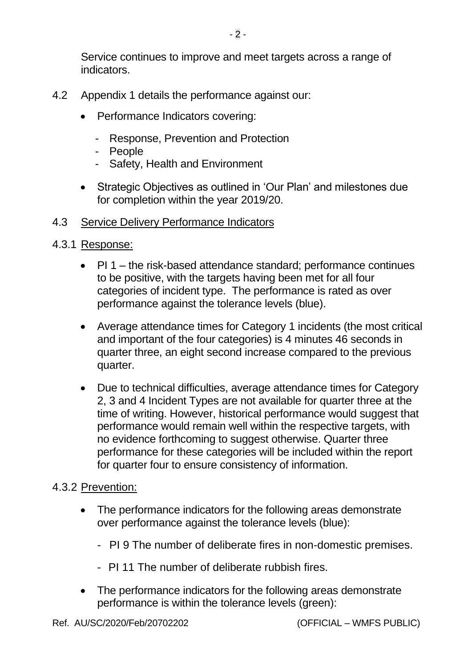- 4.2 Appendix 1 details the performance against our:
	- Performance Indicators covering:
		- Response, Prevention and Protection
		- People
		- Safety, Health and Environment
	- Strategic Objectives as outlined in 'Our Plan' and milestones due for completion within the year 2019/20.

### 4.3 Service Delivery Performance Indicators

### 4.3.1 Response:

- PI 1 the risk-based attendance standard; performance continues to be positive, with the targets having been met for all four categories of incident type. The performance is rated as over performance against the tolerance levels (blue).
- Average attendance times for Category 1 incidents (the most critical and important of the four categories) is 4 minutes 46 seconds in quarter three, an eight second increase compared to the previous quarter.
- Due to technical difficulties, average attendance times for Category 2, 3 and 4 Incident Types are not available for quarter three at the time of writing. However, historical performance would suggest that performance would remain well within the respective targets, with no evidence forthcoming to suggest otherwise. Quarter three performance for these categories will be included within the report for quarter four to ensure consistency of information.

### 4.3.2 Prevention:

- The performance indicators for the following areas demonstrate over performance against the tolerance levels (blue):
	- PI 9 The number of deliberate fires in non-domestic premises.
	- PI 11 The number of deliberate rubbish fires.
- The performance indicators for the following areas demonstrate performance is within the tolerance levels (green):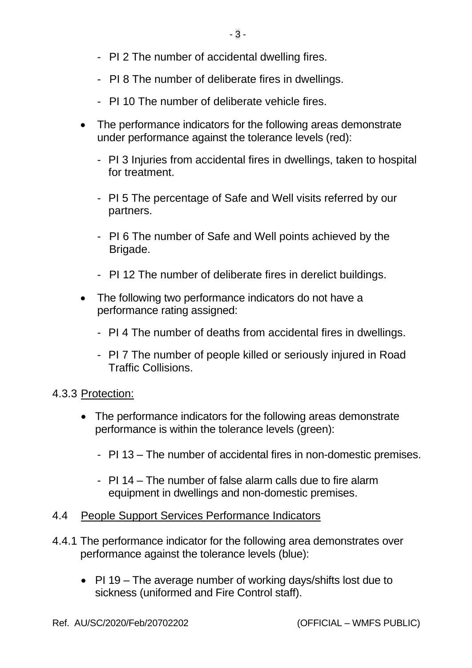- PI 2 The number of accidental dwelling fires.
- PI 8 The number of deliberate fires in dwellings.
- PI 10 The number of deliberate vehicle fires.
- The performance indicators for the following areas demonstrate under performance against the tolerance levels (red):
	- PI 3 Injuries from accidental fires in dwellings, taken to hospital for treatment.
	- PI 5 The percentage of Safe and Well visits referred by our partners.
	- PI 6 The number of Safe and Well points achieved by the Brigade.
	- PI 12 The number of deliberate fires in derelict buildings.
- The following two performance indicators do not have a performance rating assigned:
	- PI 4 The number of deaths from accidental fires in dwellings.
	- PI 7 The number of people killed or seriously injured in Road Traffic Collisions.

## 4.3.3 Protection:

- The performance indicators for the following areas demonstrate performance is within the tolerance levels (green):
	- PI 13 The number of accidental fires in non-domestic premises.
	- PI 14 The number of false alarm calls due to fire alarm equipment in dwellings and non-domestic premises.
- 4.4 People Support Services Performance Indicators
- 4.4.1 The performance indicator for the following area demonstrates over performance against the tolerance levels (blue):
	- PI 19 The average number of working days/shifts lost due to sickness (uniformed and Fire Control staff).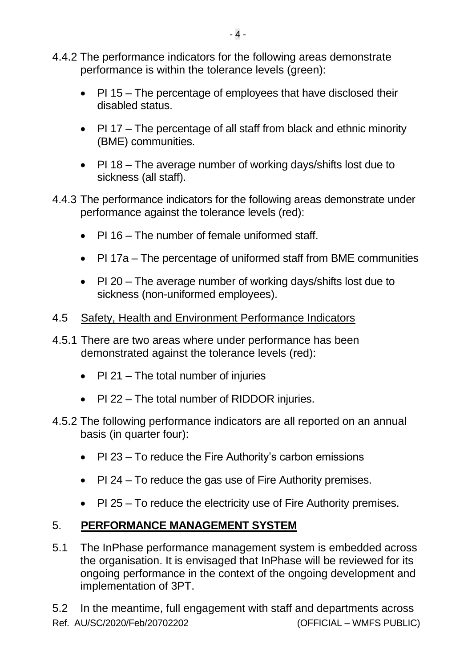- 4.4.2 The performance indicators for the following areas demonstrate performance is within the tolerance levels (green):
	- PI 15 The percentage of employees that have disclosed their disabled status.
	- PI 17 The percentage of all staff from black and ethnic minority (BME) communities.
	- PI 18 The average number of working days/shifts lost due to sickness (all staff).
- 4.4.3 The performance indicators for the following areas demonstrate under performance against the tolerance levels (red):
	- PI 16 The number of female uniformed staff.
	- PI 17a The percentage of uniformed staff from BME communities
	- PI 20 The average number of working days/shifts lost due to sickness (non-uniformed employees).
- 4.5 Safety, Health and Environment Performance Indicators
- 4.5.1 There are two areas where under performance has been demonstrated against the tolerance levels (red):
	- PI 21 The total number of injuries
	- PI 22 The total number of RIDDOR injuries.
- 4.5.2 The following performance indicators are all reported on an annual basis (in quarter four):
	- PI 23 To reduce the Fire Authority's carbon emissions
	- PI 24 To reduce the gas use of Fire Authority premises.
	- PI 25 To reduce the electricity use of Fire Authority premises.

## 5. **PERFORMANCE MANAGEMENT SYSTEM**

5.1 The InPhase performance management system is embedded across the organisation. It is envisaged that InPhase will be reviewed for its ongoing performance in the context of the ongoing development and implementation of 3PT.

Ref. AU/SC/2020/Feb/20702202 (OFFICIAL – WMFS PUBLIC) 5.2 In the meantime, full engagement with staff and departments across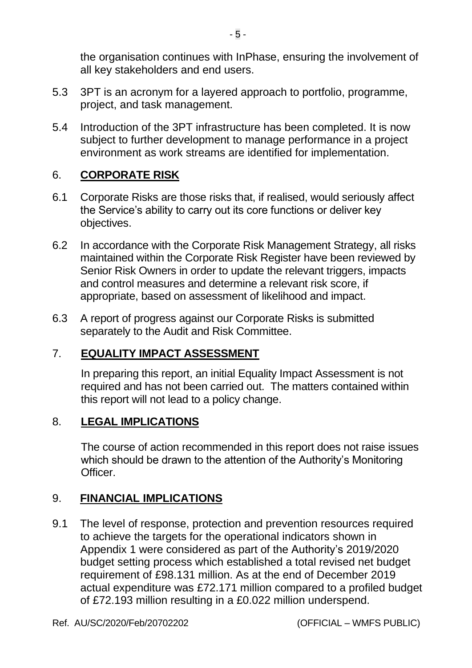the organisation continues with InPhase, ensuring the involvement of all key stakeholders and end users.

- 5.3 3PT is an acronym for a layered approach to portfolio, programme, project, and task management.
- 5.4 Introduction of the 3PT infrastructure has been completed. It is now subject to further development to manage performance in a project environment as work streams are identified for implementation.

### 6. **CORPORATE RISK**

- 6.1 Corporate Risks are those risks that, if realised, would seriously affect the Service's ability to carry out its core functions or deliver key objectives.
- 6.2 In accordance with the Corporate Risk Management Strategy, all risks maintained within the Corporate Risk Register have been reviewed by Senior Risk Owners in order to update the relevant triggers, impacts and control measures and determine a relevant risk score, if appropriate, based on assessment of likelihood and impact.
- 6.3 A report of progress against our Corporate Risks is submitted separately to the Audit and Risk Committee.

### 7. **EQUALITY IMPACT ASSESSMENT**

In preparing this report, an initial Equality Impact Assessment is not required and has not been carried out. The matters contained within this report will not lead to a policy change.

### 8. **LEGAL IMPLICATIONS**

The course of action recommended in this report does not raise issues which should be drawn to the attention of the Authority's Monitoring Officer.

### 9. **FINANCIAL IMPLICATIONS**

9.1 The level of response, protection and prevention resources required to achieve the targets for the operational indicators shown in Appendix 1 were considered as part of the Authority's 2019/2020 budget setting process which established a total revised net budget requirement of £98.131 million. As at the end of December 2019 actual expenditure was £72.171 million compared to a profiled budget of £72.193 million resulting in a £0.022 million underspend.